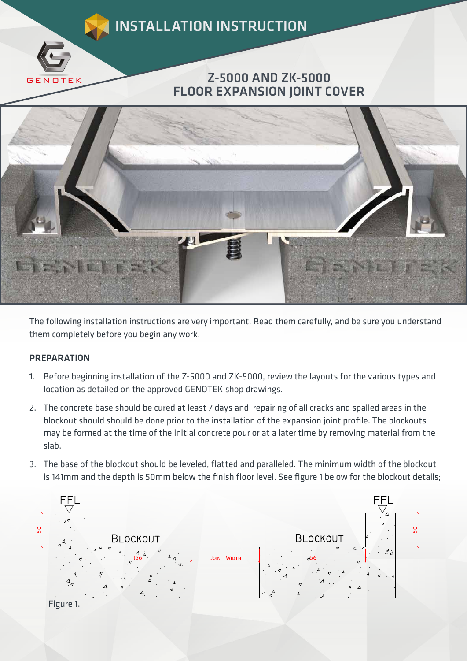



The following installation instructions are very important. Read them carefully, and be sure you understand them completely before you begin any work.

## **PREPARATION**

- 1. Before beginning installation of the Z-5000 and ZK-5000, review the layouts for the various types and location as detailed on the approved GENOTEK shop drawings.
- 2. The concrete base should be cured at least 7 days and repairing of all cracks and spalled areas in the blockout should should be done prior to the installation of the expansion joint profile. The blockouts may be formed at the time of the initial concrete pour or at a later time by removing material from the slab.
- 3. The base of the blockout should be leveled, flatted and paralleled. The minimum width of the blockout is 141mm and the depth is 50mm below the finish floor level. See figure 1 below for the blockout details;

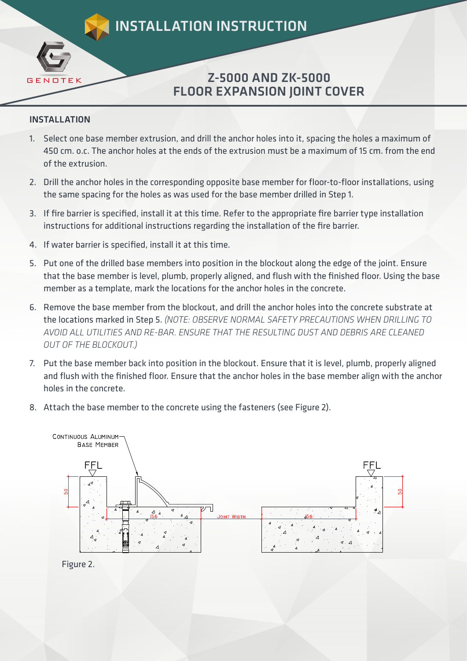INSTALLATION INSTRUCTION

## Z-5000 AND ZK-5000 FLOOR EXPANSION JOINT COVER

## INSTALLATION

**GEN** 

- 1. Select one base member extrusion, and drill the anchor holes into it, spacing the holes a maximum of 450 cm. o.c. The anchor holes at the ends of the extrusion must be a maximum of 15 cm. from the end of the extrusion.
- 2. Drill the anchor holes in the corresponding opposite base member for floor-to-floor installations, using the same spacing for the holes as was used for the base member drilled in Step 1.
- 3. If fire barrier is specified, install it at this time. Refer to the appropriate fire barrier type installation instructions for additional instructions regarding the installation of the fire barrier.
- 4. If water barrier is specified, install it at this time.
- 5. Put one of the drilled base members into position in the blockout along the edge of the joint. Ensure that the base member is level, plumb, properly aligned, and flush with the finished floor. Using the base member as a template, mark the locations for the anchor holes in the concrete.
- 6. Remove the base member from the blockout, and drill the anchor holes into the concrete substrate at the locations marked in Step 5. *(NOTE: OBSERVE NORMAL SAFETY PRECAUTIONS WHEN DRILLING TO AVOID ALL UTILITIES AND RE-BAR. ENSURE THAT THE RESULTING DUST AND DEBRIS ARE CLEANED OUT OF THE BLOCKOUT.)*
- 7. Put the base member back into position in the blockout. Ensure that it is level, plumb, properly aligned and flush with the finished floor. Ensure that the anchor holes in the base member align with the anchor holes in the concrete.
- 8. Attach the base member to the concrete using the fasteners (see Figure 2).



Figure 2.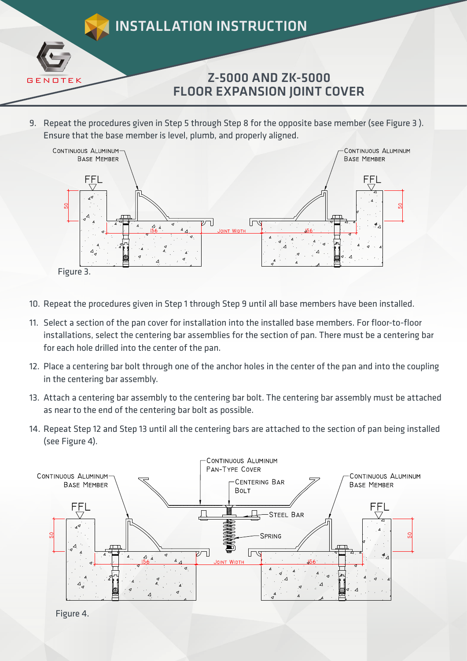

9. Repeat the procedures given in Step 5 through Step 8 for the opposite base member (see Figure 3 ). Ensure that the base member is level, plumb, and properly aligned.



- 10. Repeat the procedures given in Step 1 through Step 9 until all base members have been installed.
- 11. Select a section of the pan cover for installation into the installed base members. For floor-to-floor installations, select the centering bar assemblies for the section of pan. There must be a centering bar for each hole drilled into the center of the pan.
- 12. Place a centering bar bolt through one of the anchor holes in the center of the pan and into the coupling in the centering bar assembly.
- 13. Attach a centering bar assembly to the centering bar bolt. The centering bar assembly must be attached as near to the end of the centering bar bolt as possible.
- 14. Repeat Step 12 and Step 13 until all the centering bars are attached to the section of pan being installed (see Figure 4).



Figure 4.